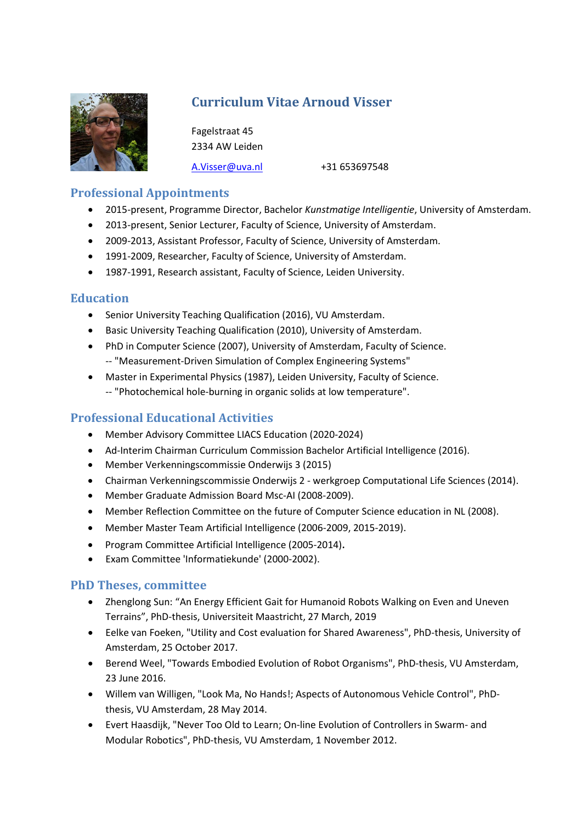

# Curriculum Vitae Arnoud Visser

 Fagelstraat 45 2334 AW Leiden

A.Visser@uva.nl +31 653697548

# Professional Appointments

- 2015-present, Programme Director, Bachelor Kunstmatige Intelligentie, University of Amsterdam.
- 2013-present, Senior Lecturer, Faculty of Science, University of Amsterdam.
- 2009-2013, Assistant Professor, Faculty of Science, University of Amsterdam.
- 1991-2009, Researcher, Faculty of Science, University of Amsterdam.
- 1987-1991, Research assistant, Faculty of Science, Leiden University.

#### Education

- Senior University Teaching Qualification (2016), VU Amsterdam.
- Basic University Teaching Qualification (2010), University of Amsterdam.
- PhD in Computer Science (2007), University of Amsterdam, Faculty of Science. -- "Measurement-Driven Simulation of Complex Engineering Systems"
- Master in Experimental Physics (1987), Leiden University, Faculty of Science. -- "Photochemical hole-burning in organic solids at low temperature".

# Professional Educational Activities

- Member Advisory Committee LIACS Education (2020-2024)
- Ad-Interim Chairman Curriculum Commission Bachelor Artificial Intelligence (2016).
- Member Verkenningscommissie Onderwijs 3 (2015)
- Chairman Verkenningscommissie Onderwijs 2 werkgroep Computational Life Sciences (2014).
- Member Graduate Admission Board Msc-AI (2008-2009).
- Member Reflection Committee on the future of Computer Science education in NL (2008).
- Member Master Team Artificial Intelligence (2006-2009, 2015-2019).
- Program Committee Artificial Intelligence (2005-2014).
- Exam Committee 'Informatiekunde' (2000-2002).

### PhD Theses, committee

- Zhenglong Sun: "An Energy Efficient Gait for Humanoid Robots Walking on Even and Uneven Terrains", PhD-thesis, Universiteit Maastricht, 27 March, 2019
- Eelke van Foeken, "Utility and Cost evaluation for Shared Awareness", PhD-thesis, University of Amsterdam, 25 October 2017.
- Berend Weel, "Towards Embodied Evolution of Robot Organisms", PhD-thesis, VU Amsterdam, 23 June 2016.
- Willem van Willigen, "Look Ma, No Hands!; Aspects of Autonomous Vehicle Control", PhDthesis, VU Amsterdam, 28 May 2014.
- Evert Haasdijk, "Never Too Old to Learn; On-line Evolution of Controllers in Swarm- and Modular Robotics", PhD-thesis, VU Amsterdam, 1 November 2012.